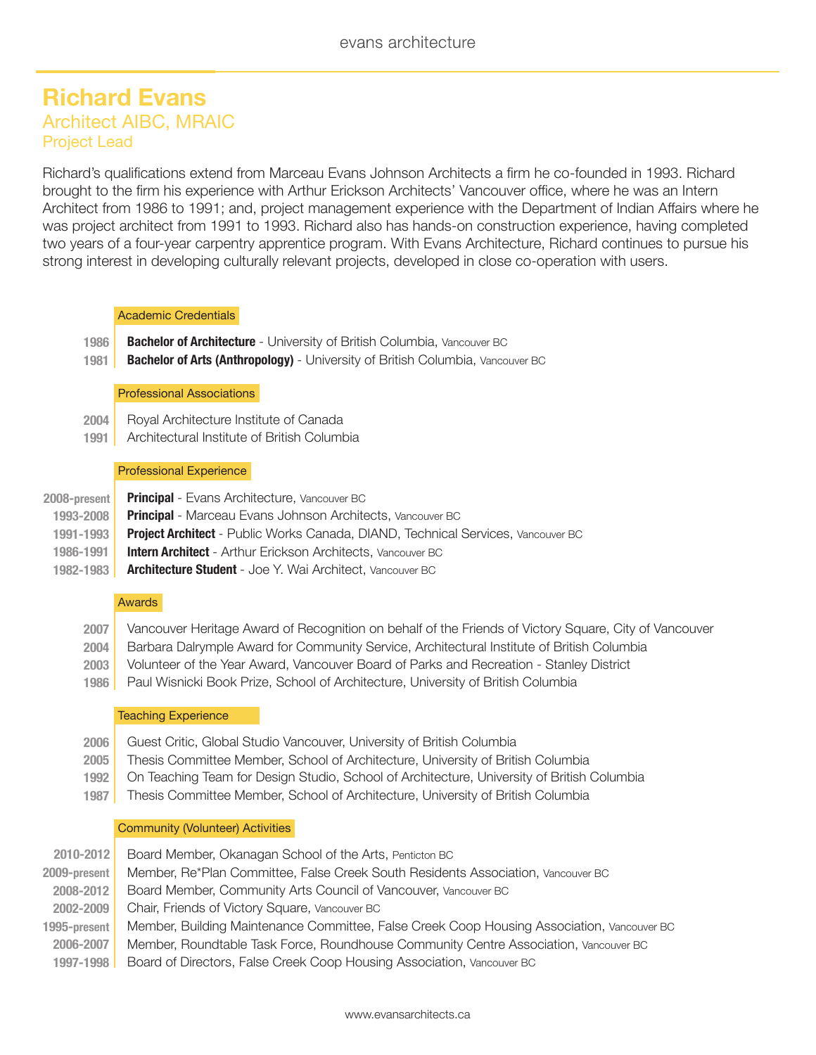# **Richard Evans** Architect AIBC, MRAIC Project Lead

Richard's qualifications extend from Marceau Evans Johnson Architects a firm he co-founded in 1993. Richard brought to the firm his experience with Arthur Erickson Architects' Vancouver office, where he was an Intern Architect from 1986 to 1991; and, project management experience with the Department of Indian Affairs where he was project architect from 1991 to 1993. Richard also has hands-on construction experience, having completed two years of a four-year carpentry apprentice program. With Evans Architecture, Richard continues to pursue his strong interest in developing culturally relevant projects, developed in close co-operation with users.

# Academic Credentials

- **1986** | **Bachelor of Architecture** - University of British Columbia, Vancouver BC
- **1981** | **Bachelor of Arts (Anthropology)** - University of British Columbia, Vancouver BC

# Professional Associations

- **2004** | Royal Architecture Institute of Canada
- **1991** | Architectural Institute of British Columbia

# Professional Experience

| 2008-present | <b>Principal</b> - Evans Architecture, Vancouver BC                                     |
|--------------|-----------------------------------------------------------------------------------------|
| 1993-2008    | <b>Principal</b> - Marceau Evans Johnson Architects, Vancouver BC                       |
| 1991-1993    | <b>Project Architect</b> - Public Works Canada, DIAND, Technical Services, Vancouver BC |
| 1986-1991    | <b>Intern Architect</b> - Arthur Erickson Architects, Vancouver BC                      |
| 1982-1983    | <b>Architecture Student</b> - Joe Y. Wai Architect, Vancouver BC                        |

# Awards

- **2007** | Vancouver Heritage Award of Recognition on behalf of the Friends of Victory Square, City of Vancouver
- **2004** | Barbara Dalrymple Award for Community Service, Architectural Institute of British Columbia
- **2003** | Volunteer of the Year Award, Vancouver Board of Parks and Recreation - Stanley District
- **1986** | Paul Wisnicki Book Prize, School of Architecture, University of British Columbia

# Teaching Experience

- **2006** | **2005** | **1992** | Guest Critic, Global Studio Vancouver, University of British Columbia Thesis Committee Member, School of Architecture, University of British Columbia On Teaching Team for Design Studio, School of Architecture, University of British Columbia
- **1987** | Thesis Committee Member, School of Architecture, University of British Columbia

# Community (Volunteer) Activities

| 2010-2012    | Board Member, Okanagan School of the Arts, Penticton BC                                    |
|--------------|--------------------------------------------------------------------------------------------|
| 2009-present | Member, Re*Plan Committee, False Creek South Residents Association, Vancouver BC           |
| 2008-2012    | Board Member, Community Arts Council of Vancouver, Vancouver BC                            |
| 2002-2009    | Chair, Friends of Victory Square, Vancouver BC                                             |
| 1995-present | Member, Building Maintenance Committee, False Creek Coop Housing Association, Vancouver BC |
| 2006-2007    | Member, Roundtable Task Force, Roundhouse Community Centre Association, Vancouver BC       |
| 1997-1998    | Board of Directors, False Creek Coop Housing Association, Vancouver BC                     |
|              |                                                                                            |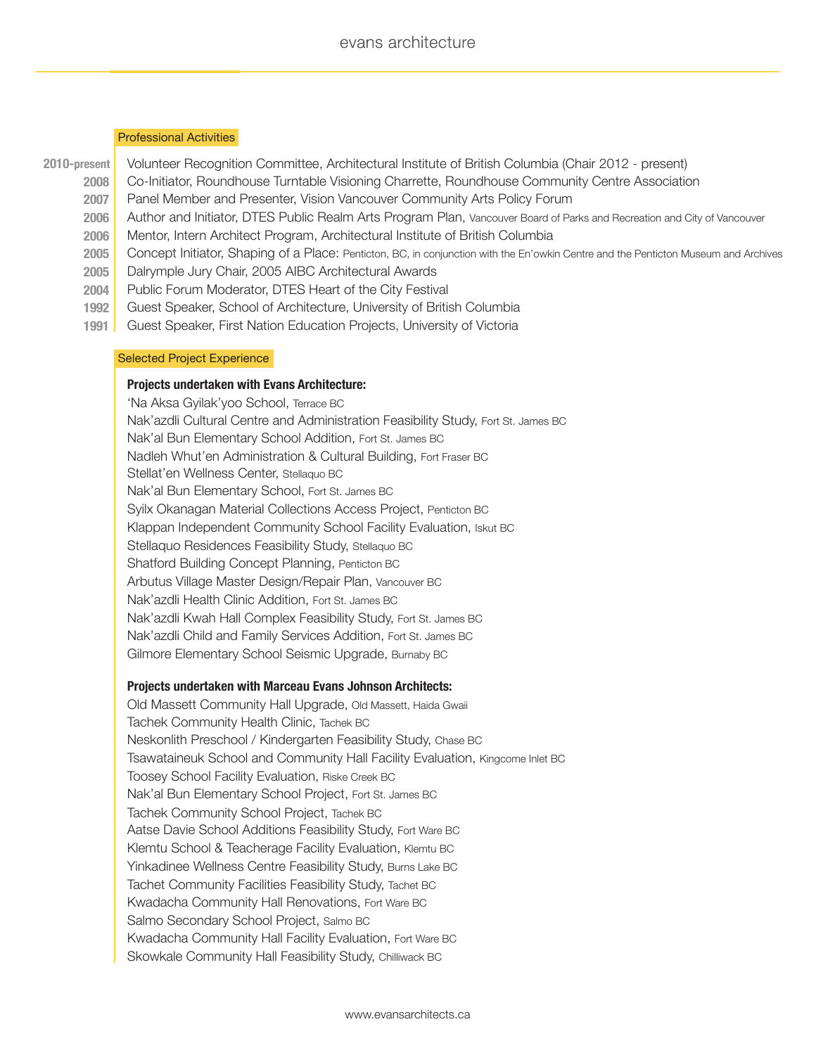### Professional Activities

- **2010-present** | Volunteer Recognition Committee, Architectural Institute of British Columbia (Chair 2012 - present)
	- **2008** | Co-Initiator, Roundhouse Turntable Visioning Charrette, Roundhouse Community Centre Association
	- **2007** | Panel Member and Presenter, Vision Vancouver Community Arts Policy Forum
	- **2006** | Author and Initiator, DTES Public Realm Arts Program Plan, Vancouver Board of Parks and Recreation and City of Vancouver
	- **2006** | Mentor, Intern Architect Program, Architectural Institute of British Columbia
	- **2005** | Concept Initiator, Shaping of a Place: Penticton, BC, in conjunction with the En'owkin Centre and the Penticton Museum and Archives
	- **2005** | Dalrymple Jury Chair, 2005 AIBC Architectural Awards
	- **2004** | Public Forum Moderator, DTES Heart of the City Festival
	- **1992** | Guest Speaker, School of Architecture, University of British Columbia
	- **1991** | Guest Speaker, First Nation Education Projects, University of Victoria

#### Selected Project Experience

# **Projects undertaken with Evans Architecture:**

'Na Aksa Gyilak'yoo School, Terrace BC Nak'azdli Cultural Centre and Administration Feasibility Study, Fort St. James BC Nak'al Bun Elementary School Addition, Fort St. James BC Nadleh Whut'en Administration & Cultural Building, Fort Fraser BC Stellat'en Wellness Center, Stellaquo BC Syilx Okanagan Material Collections Access Project, Penticton BC Klappan Independent Community School Facility Evaluation, Iskut BC Stellaquo Residences Feasibility Study, Stellaquo BC Shatford Building Concept Planning, Penticton BC Arbutus Village Master Design/Repair Plan, Vancouver BC Nak'azdli Health Clinic Addition, Fort St. James BC Nak'azdli Kwah Hall Complex Feasibility Study, Fort St. James BC Nak'azdli Child and Family Services Addition, Fort St. James BC Gilmore Elementary School Seismic Upgrade, Burnaby BC Nak'al Bun Elementary School, Fort St. James BC

#### **Projects undertaken with Marceau Evans Johnson Architects:**

Old Massett Community Hall Upgrade, Old Massett, Haida Gwaii Tachek Community Health Clinic, Tachek BC Neskonlith Preschool / Kindergarten Feasibility Study, Chase BC Tsawataineuk School and Community Hall Facility Evaluation, Kingcome Inlet BC Toosey School Facility Evaluation, Riske Creek BC Nak'al Bun Elementary School Project, Fort St. James BC Tachek Community School Project, Tachek BC Aatse Davie School Additions Feasibility Study, Fort Ware BC Klemtu School & Teacherage Facility Evaluation, Klemtu BC Yinkadinee Wellness Centre Feasibility Study, Burns Lake BC Tachet Community Facilities Feasibility Study, Tachet BC Kwadacha Community Hall Renovations, Fort Ware BC Salmo Secondary School Project, Salmo BC Kwadacha Community Hall Facility Evaluation, Fort Ware BC Skowkale Community Hall Feasibility Study, Chilliwack BC